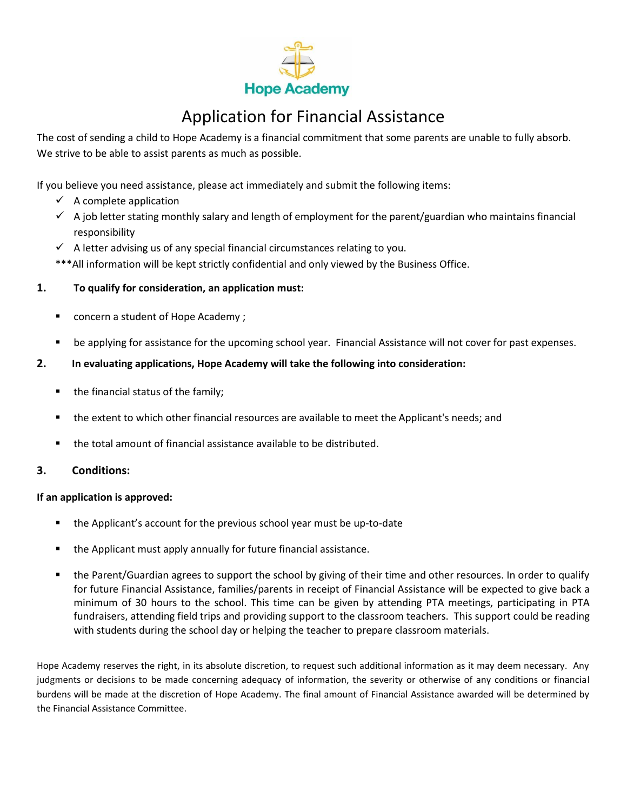

## Application for Financial Assistance

The cost of sending a child to Hope Academy is a financial commitment that some parents are unable to fully absorb. We strive to be able to assist parents as much as possible.

If you believe you need assistance, please act immediately and submit the following items:

- $\checkmark$  A complete application
- $\checkmark$  A job letter stating monthly salary and length of employment for the parent/guardian who maintains financial responsibility
- $\checkmark$  A letter advising us of any special financial circumstances relating to you.

\*\*\* All information will be kept strictly confidential and only viewed by the Business Office.

#### **1. To qualify for consideration, an application must:**

- concern a student of Hope Academy ;
- be applying for assistance for the upcoming school year. Financial Assistance will not cover for past expenses.

#### **2. In evaluating applications, Hope Academy will take the following into consideration:**

- the financial status of the family;
- the extent to which other financial resources are available to meet the Applicant's needs; and
- the total amount of financial assistance available to be distributed.

#### **3. Conditions:**

#### **If an application is approved:**

- the Applicant's account for the previous school year must be up-to-date
- the Applicant must apply annually for future financial assistance.
- the Parent/Guardian agrees to support the school by giving of their time and other resources. In order to qualify for future Financial Assistance, families/parents in receipt of Financial Assistance will be expected to give back a minimum of 30 hours to the school. This time can be given by attending PTA meetings, participating in PTA fundraisers, attending field trips and providing support to the classroom teachers. This support could be reading with students during the school day or helping the teacher to prepare classroom materials.

Hope Academy reserves the right, in its absolute discretion, to request such additional information as it may deem necessary. Any judgments or decisions to be made concerning adequacy of information, the severity or otherwise of any conditions or financial burdens will be made at the discretion of Hope Academy. The final amount of Financial Assistance awarded will be determined by the Financial Assistance Committee.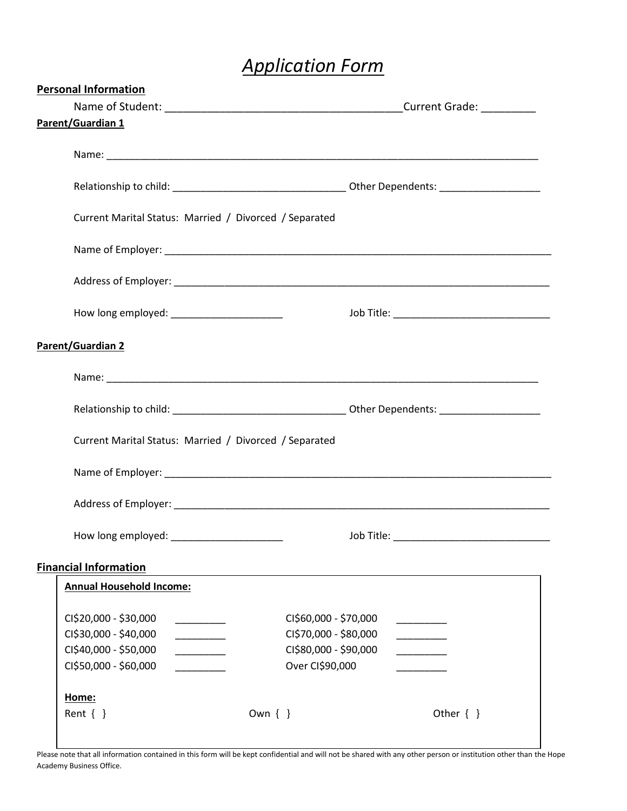# *Application Form*

| <b>Personal Information</b>                            |            |                       |                                               |  |  |
|--------------------------------------------------------|------------|-----------------------|-----------------------------------------------|--|--|
|                                                        |            |                       |                                               |  |  |
| <b>Parent/Guardian 1</b>                               |            |                       |                                               |  |  |
|                                                        |            |                       |                                               |  |  |
|                                                        |            |                       |                                               |  |  |
|                                                        |            |                       |                                               |  |  |
|                                                        |            |                       |                                               |  |  |
| Current Marital Status: Married / Divorced / Separated |            |                       |                                               |  |  |
|                                                        |            |                       |                                               |  |  |
|                                                        |            |                       |                                               |  |  |
|                                                        |            |                       |                                               |  |  |
| How long employed: ________________________            |            |                       | Job Title: __________________________________ |  |  |
|                                                        |            |                       |                                               |  |  |
| Parent/Guardian 2                                      |            |                       |                                               |  |  |
|                                                        |            |                       |                                               |  |  |
|                                                        |            |                       |                                               |  |  |
|                                                        |            |                       |                                               |  |  |
| Current Marital Status: Married / Divorced / Separated |            |                       |                                               |  |  |
|                                                        |            |                       |                                               |  |  |
|                                                        |            |                       |                                               |  |  |
|                                                        |            |                       |                                               |  |  |
|                                                        |            |                       |                                               |  |  |
| How long employed: ______________________              |            |                       |                                               |  |  |
|                                                        |            |                       |                                               |  |  |
| <b>Financial Information</b>                           |            |                       |                                               |  |  |
| <b>Annual Household Income:</b>                        |            |                       |                                               |  |  |
| CI\$20,000 - \$30,000<br><u> 1990 - Jan Barnett, p</u> |            | CI\$60,000 - \$70,000 |                                               |  |  |
| CI\$30,000 - \$40,000                                  |            | CI\$70,000 - \$80,000 |                                               |  |  |
| CI\$40,000 - \$50,000<br>$\overline{\phantom{a}}$      |            | CI\$80,000 - \$90,000 | <u> Liberatura de la p</u>                    |  |  |
| CI\$50,000 - \$60,000                                  |            | Over CI\$90,000       |                                               |  |  |
|                                                        |            |                       |                                               |  |  |
| Home:                                                  |            |                       |                                               |  |  |
| Rent $\{\}$                                            | Own $\{\}$ |                       | Other $\{\}$                                  |  |  |
|                                                        |            |                       |                                               |  |  |

Please note that all information contained in this form will be kept confidential and will not be shared with any other person or institution other than the Hope Academy Business Office.

 $\mathsf L$